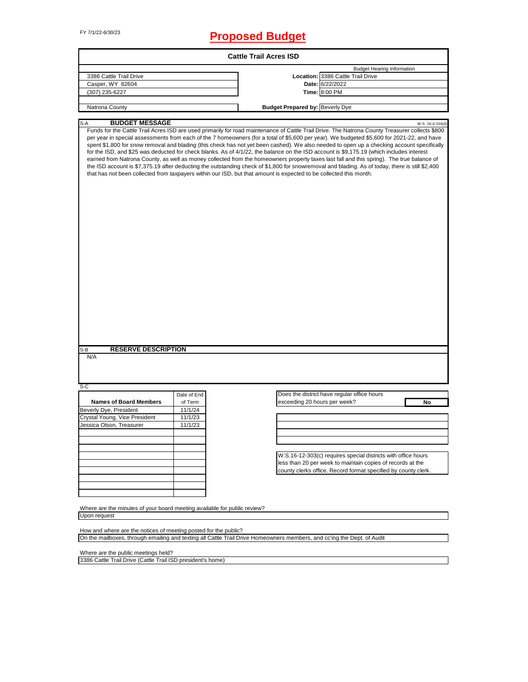## FY 7/1/22-6/30/23 **Proposed Budget**

|                                                                                                                                                                                            |             | <b>Cattle Trail Acres ISD</b>                                                                                      |                                                                                                                                                                                                                                                                                                                                                                                                                                                                                                                                                                                                                                                                                                                                                                                                                                                                                                             |
|--------------------------------------------------------------------------------------------------------------------------------------------------------------------------------------------|-------------|--------------------------------------------------------------------------------------------------------------------|-------------------------------------------------------------------------------------------------------------------------------------------------------------------------------------------------------------------------------------------------------------------------------------------------------------------------------------------------------------------------------------------------------------------------------------------------------------------------------------------------------------------------------------------------------------------------------------------------------------------------------------------------------------------------------------------------------------------------------------------------------------------------------------------------------------------------------------------------------------------------------------------------------------|
|                                                                                                                                                                                            |             |                                                                                                                    | <b>Budget Hearing Information</b>                                                                                                                                                                                                                                                                                                                                                                                                                                                                                                                                                                                                                                                                                                                                                                                                                                                                           |
| 3386 Cattle Trail Drive                                                                                                                                                                    |             |                                                                                                                    | Location: 3386 Cattle Trail Drive                                                                                                                                                                                                                                                                                                                                                                                                                                                                                                                                                                                                                                                                                                                                                                                                                                                                           |
| Casper, WY 82604                                                                                                                                                                           |             |                                                                                                                    | Date: 6/22/2022                                                                                                                                                                                                                                                                                                                                                                                                                                                                                                                                                                                                                                                                                                                                                                                                                                                                                             |
| (307) 235-6227                                                                                                                                                                             |             |                                                                                                                    | Time: 8:00 PM                                                                                                                                                                                                                                                                                                                                                                                                                                                                                                                                                                                                                                                                                                                                                                                                                                                                                               |
| Natrona County                                                                                                                                                                             |             | <b>Budget Prepared by: Beverly Dye</b>                                                                             |                                                                                                                                                                                                                                                                                                                                                                                                                                                                                                                                                                                                                                                                                                                                                                                                                                                                                                             |
|                                                                                                                                                                                            |             |                                                                                                                    |                                                                                                                                                                                                                                                                                                                                                                                                                                                                                                                                                                                                                                                                                                                                                                                                                                                                                                             |
| S-A<br><b>BUDGET MESSAGE</b>                                                                                                                                                               |             | that has not been collected from taxpayers within our ISD, but that amount is expected to be collected this month. | W.S. 16-4-104(d)<br>Funds for the Cattle Trail Acres ISD are used primarily for road maintenance of Cattle Trail Drive. The Natrona County Treasurer collects \$800<br>per year in special assessments from each of the 7 homeowners (for a total of \$5,600 per year). We budgeted \$5,600 for 2021-22, and have<br>spent \$1,800 for snow removal and blading (this check has not yet been cashed). We also needed to open up a checking account specifically<br>for the ISD, and \$25 was deducted for check blanks. As of 4/1/22, the balance on the ISD account is \$9,175.19 (which includes interest<br>earned from Natrona County, as well as money collected from the homeowners property taxes last fall and this spring). The true balance of<br>the ISD account is \$7,375.19 after deducting the outstanding check of \$1,800 for snowremoval and blading. As of today, there is still \$2,400 |
|                                                                                                                                                                                            |             |                                                                                                                    |                                                                                                                                                                                                                                                                                                                                                                                                                                                                                                                                                                                                                                                                                                                                                                                                                                                                                                             |
|                                                                                                                                                                                            |             |                                                                                                                    |                                                                                                                                                                                                                                                                                                                                                                                                                                                                                                                                                                                                                                                                                                                                                                                                                                                                                                             |
| <b>RESERVE DESCRIPTION</b><br>S-B<br>N/A                                                                                                                                                   |             |                                                                                                                    |                                                                                                                                                                                                                                                                                                                                                                                                                                                                                                                                                                                                                                                                                                                                                                                                                                                                                                             |
| S-C                                                                                                                                                                                        |             |                                                                                                                    |                                                                                                                                                                                                                                                                                                                                                                                                                                                                                                                                                                                                                                                                                                                                                                                                                                                                                                             |
|                                                                                                                                                                                            | Date of End |                                                                                                                    | Does the district have regular office hours                                                                                                                                                                                                                                                                                                                                                                                                                                                                                                                                                                                                                                                                                                                                                                                                                                                                 |
| <b>Names of Board Members</b>                                                                                                                                                              | of Term     | exceeding 20 hours per week?                                                                                       | No                                                                                                                                                                                                                                                                                                                                                                                                                                                                                                                                                                                                                                                                                                                                                                                                                                                                                                          |
|                                                                                                                                                                                            | 11/1/24     |                                                                                                                    |                                                                                                                                                                                                                                                                                                                                                                                                                                                                                                                                                                                                                                                                                                                                                                                                                                                                                                             |
|                                                                                                                                                                                            | 11/1/23     |                                                                                                                    |                                                                                                                                                                                                                                                                                                                                                                                                                                                                                                                                                                                                                                                                                                                                                                                                                                                                                                             |
|                                                                                                                                                                                            | 11/1/23     |                                                                                                                    |                                                                                                                                                                                                                                                                                                                                                                                                                                                                                                                                                                                                                                                                                                                                                                                                                                                                                                             |
|                                                                                                                                                                                            |             |                                                                                                                    |                                                                                                                                                                                                                                                                                                                                                                                                                                                                                                                                                                                                                                                                                                                                                                                                                                                                                                             |
|                                                                                                                                                                                            |             |                                                                                                                    |                                                                                                                                                                                                                                                                                                                                                                                                                                                                                                                                                                                                                                                                                                                                                                                                                                                                                                             |
|                                                                                                                                                                                            |             |                                                                                                                    |                                                                                                                                                                                                                                                                                                                                                                                                                                                                                                                                                                                                                                                                                                                                                                                                                                                                                                             |
|                                                                                                                                                                                            |             |                                                                                                                    | W.S.16-12-303(c) requires special districts with office hours                                                                                                                                                                                                                                                                                                                                                                                                                                                                                                                                                                                                                                                                                                                                                                                                                                               |
|                                                                                                                                                                                            |             |                                                                                                                    | less than 20 per week to maintain copies of records at the                                                                                                                                                                                                                                                                                                                                                                                                                                                                                                                                                                                                                                                                                                                                                                                                                                                  |
| Beverly Dye, President<br>Crystal Young, Vice President<br>Jessica Olson, Treasurer                                                                                                        |             |                                                                                                                    | county clerks office. Record format specified by county clerk.                                                                                                                                                                                                                                                                                                                                                                                                                                                                                                                                                                                                                                                                                                                                                                                                                                              |
|                                                                                                                                                                                            |             |                                                                                                                    |                                                                                                                                                                                                                                                                                                                                                                                                                                                                                                                                                                                                                                                                                                                                                                                                                                                                                                             |
|                                                                                                                                                                                            |             |                                                                                                                    |                                                                                                                                                                                                                                                                                                                                                                                                                                                                                                                                                                                                                                                                                                                                                                                                                                                                                                             |
|                                                                                                                                                                                            |             |                                                                                                                    |                                                                                                                                                                                                                                                                                                                                                                                                                                                                                                                                                                                                                                                                                                                                                                                                                                                                                                             |
| Where are the minutes of your board meeting available for public review?                                                                                                                   |             |                                                                                                                    |                                                                                                                                                                                                                                                                                                                                                                                                                                                                                                                                                                                                                                                                                                                                                                                                                                                                                                             |
| Upon request                                                                                                                                                                               |             |                                                                                                                    |                                                                                                                                                                                                                                                                                                                                                                                                                                                                                                                                                                                                                                                                                                                                                                                                                                                                                                             |
|                                                                                                                                                                                            |             |                                                                                                                    |                                                                                                                                                                                                                                                                                                                                                                                                                                                                                                                                                                                                                                                                                                                                                                                                                                                                                                             |
| How and where are the notices of meeting posted for the public?<br>On the mailboxes, through emailing and texting all Cattle Trail Drive Homeowners members, and cc'ing the Dept. of Audit |             |                                                                                                                    |                                                                                                                                                                                                                                                                                                                                                                                                                                                                                                                                                                                                                                                                                                                                                                                                                                                                                                             |

Where are the public meetings held? 3386 Cattle Trail Drive (Cattle Trail ISD president's home)